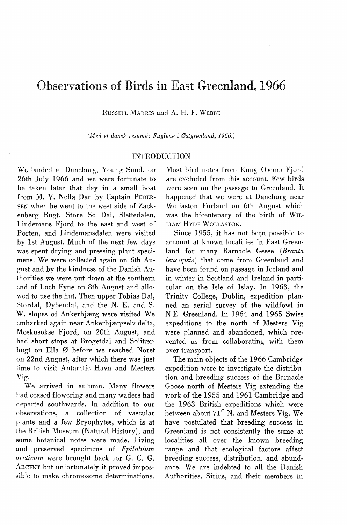# Observations of Birds in East Greenland, 1966

RussELL MARRIS and A. H. F. WEBBE

*(Med et dansk resumé: Fuglene i Østgrønland, 1966.)* 

# INTRODUCTION

We landed at Daneborg, Young Sund, on 26th July 1966 and we were fortunate to be taken later that day in a small boat from M. V. Nella Dan by Captain PEDER-SEN when he went to the west side of Zackenberg Bugt. Store Sø Dal, Slettedalen, Lindemans Fjord to the east and west of Porten, and Lindemansdalen were visited by lst August. Much of the next few days was spent drying and pressing plant specimens. We were collected again on 6th August and by the kindness of the Danish Authorities we were put down at the southern end of Loch Fyne on 8th August and allowed to use the hut. Then upper Tobias Dal, Stordal, Dybendal, and the N. E. and S. W. slopes of Ankerbjærg were visited. We embarked again near Ankerbjærgselv delta, Moskusokse Fjord, on 20th August, and had short stops at Brogetdal and Solitærbugt on Ella Ø before we reached Noret on 22nd August, after which there was just time to visit Antarctic Havn and Mesters Vig.

We arrived in autumn. Many flowers had ceased flowering and many waders had departed southwards. In addition to our observations, a collection of vascular plants and a few Bryophytes, which is at the British Museum (Natural History), and some botanical notes were made. Living and preserved specimens of *Epilobium arcticum* were brought back for G. C. G. ARGENT but unfortunately it proved impossible to make chromosome determinations.

Most hird notes from Kong Oscars Fjord are excluded from this account. Few hirds were seen on the passage to Greenland. It happened that we were at Daneborg near Wollaston Forland on 6th August which was the bicentenary of the birth of WIL-LIAM HYDE WOLLASTON.

Since 1955, it has not been possible to account at known localities in East Greenland for many Barnacle Geese *(Branta leucopsis)* that come from Greenland and have been found on passage in Iceland and in winter in Scotland and Ireland in particular on the Isle of Islay. In 1963, the Trinity College, Dublin, expedition planned an aerial survey of the wildfowl in N.E. Greenland. In 1964 and 1965 Swiss expeditions to the north of Mesters Vig were planned and abandoned, which prevented us from collaborating with them over transport.

The main objects of the 1966 Cambridge expedition were to investigate the distribution and breeding success of the Barnacle Goose north of Mesters Vig extending the work of the 1955 and 1961 Cambridge and the 1963 British expeditions which were between about  $71^\circ$  N. and Mesters Vig. We have postulated that breeding success in Greenland is not consistently the same at localities all over the known breeding range and that ecological factors affect breeding success, distribution, and abundance. We are indebted to all the Danish Authorities, Sirius, and their members in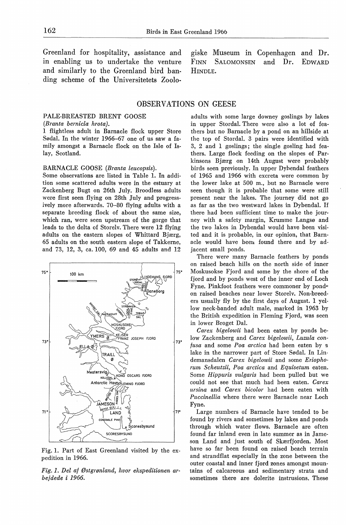Greenland for hospitality, assistance and in enabling us to undertake the venture and similarly to the Greenland hird banding scheme of the Universitetets Zoolo-

giske Museum in Copenhagen and Dr. FINN SALOMONSEN and Dr. EDWARD HINDLE.

# OBSERVATIONS ON GEESE

## PALE-BREASTED BRENT GOOSE

## *(Branta bernicla hrota).*

1 flightless adult in Barnacle flock upper Store Sødal. In the winter 1966-67 one of us saw a family amongst a Barnacle flock on the Isle of Islay, Scotland.

## BARNACLE GOOSE *(Branta leucopsis).*

Some observations are listed in Table 1. In addition some scattered adults were in the estuary at Zackenberg Bugt on 26th July. Broodless adults were first seen flying on 28th July and progressively more afterwards. 70-80 flying adults with a separate breeding flock of about the same size, which ran, were seen upstream of the gorge that leads to the delta of Storelv. There were 12 flying adults on the eastern slopes of Whittard Bjærg, 65 adults on the south eastern slope of Takkerne, and 73, 12, 3, ca. 100, 69 and 45 adults and 12



Fig. 1. Part of East Greenland visited by the expedition in 1966.

*Fig. 1. Del af Østgrønland, hvor ekspeditionen arbejdede i 1966.* 

adults with some large downey goslings by lakes in upper Stordal. There were also a lot of feathers but no Barnacle by a pond on an hillside at the top of Stordal. 3 pairs were identified with 3, 2 and 1 goslings; the single gosling had feathers. Large flock feeding on the slopes of Parkinsons Bjærg on 14th August were probably hirds seen previously. In upper Dyhendal feathers of 1965 and 1966 with excreta were common by the lower lake at 500 m., but no Barnacle were seen though it is probable that some were still present near the lakes. The journey did not go as far as the two westward lakes in Dybendal. If there had been sufficient time to make the journey with a safety margin, Krumme Langsø and the two lakes in Dybendal would have been visited and it is probable, in our opinion, that Barnacle would have been found there and by adjacent small ponds.

There were many Barnacle feathers by ponds on raised beach hills on the north side of inner Moskusokse Fjord and some by the shore of the fjord and by ponds west of the inner end of Loch Fyne. Pinkfoot feathers were commoner by pond<sup>®</sup> on raised beaches near lower Storelv. Non-breeders usually fly by the first days of August. 1 yellow neck-banded adult male, marked in 1963 by the British expedition in Fleming Fjord, was seen in lower Broget Dal.

*Carex bigelowii* had been eaten by ponds below Zackenberg and *Carex bigelowii, Luzula confusa* and some *Poa arctica* had been eaten by g lake in the narrower part of Store Sødal. In Lindemansdalen *Carex bigelowii* and some *Eriophorum Scheutzii, Poa arctica* and *Equisetum* eaten. Some *Hippuris vulgaris* had been pulled but we could not see that much had been eaten. *Carex ursina* and *Carex bicolor* had been eaten with *Puccinellia* where there were Barnacle near Loch Fyne.

Large numbers of Barnacle have tended to be found by rivers and sometimes by lakes and ponds through which water flows. Barnacle are often found farinland even in late summer as in Jameson Land and just south of Skærfjorden. Most have so far been found on raised beach terrain and strandflat especially in the zone between the outer coastal and inner fjord zones amongst mountains of calcareous and sedimentary strata and sometimes there are dolerite instrusions. These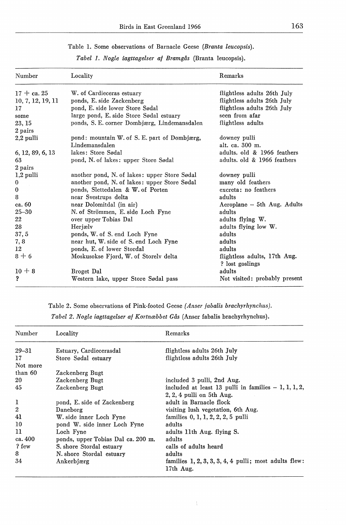| Table 1. Some observations of Barnacle Geese (Branta leucopsis). |  |  |  |
|------------------------------------------------------------------|--|--|--|
|------------------------------------------------------------------|--|--|--|

| Number            | Locality                                     | Remarks                                         |
|-------------------|----------------------------------------------|-------------------------------------------------|
| $17 + ca.25$      | W. of Cardieceras estuary                    | flightless adults 26th July                     |
| 10, 7, 12, 19, 11 | ponds, E. side Zackenberg                    | flightless adults 26th July                     |
| 17                | pond, E. side lower Store Sødal              | flightless adults 26th July                     |
| some              | large pond, E. side Store Sødal estuary      | seen from afar                                  |
| 23, 15            | ponds, S. E. corner Dombjærg, Lindemansdalen | flightless adults                               |
| 2 pairs           |                                              |                                                 |
| 2,2 pulli         | pond: mountain W. of S. E. part of Dombjærg, | downey pulli                                    |
|                   | Lindemansdalen                               | alt. ca. 300 m.                                 |
| 6, 12, 89, 6, 13  | lakes: Store Sødal                           | adults. old & 1966 feathers                     |
| 63                | pond, N. of lakes: upper Store Sødal         | adults, old & 1966 feathers                     |
| 2 pairs           |                                              |                                                 |
| $1,2$ pulli       | another pond, N. of lakes: upper Store Sødal | downey pulli                                    |
| 0                 | another pond, N. of lakes: upper Store Sødal | many old feathers                               |
| $\bf{0}$          | ponds, Slettedalen & W. of Porten            | excreta: no feathers                            |
| 8                 | near Svestrups delta                         | adults                                          |
| ca. 60            | near Dolomitdal (in air)                     | Aeroplane - 5th Aug. Adults                     |
| $25 - 30$         | N. of Strömmen, E. side Loch Fyne            | adults                                          |
| 22                | over upper Tobias Dal                        | adults flying W.                                |
| 28                | Herjælv                                      | adults flying low W.                            |
| 37, 5             | ponds, W. of S. end Loch Fyne                | adults                                          |
| 7, 8              | near hut, W. side of S. end Loch Fyne        | adults                                          |
| 12                | ponds, E. of lower Stordal                   | adults                                          |
| $8+6$             | Moskusokse Fjord, W. of Storely delta        | flightless adults, 17th Aug.<br>? lost goslings |
| $10 + 8$          | Broget Dal                                   | adults                                          |
| ?                 | Western lake, upper Store Sødal pass         | Not visited: probably present                   |

*Tabel 1. Nogle iagttagelser af Bramgås* (Branta leucopsis).

Table 2. Some observations of Pink-footed Geese *(Anser fabalis brachyrhynchus).* 

*Tabel 2. Nogle iagttagelser af Kortnæbbet Gås* (Anser fabalis brachyrhynchus).

| Number           | Locality                           | Remarks                                                              |
|------------------|------------------------------------|----------------------------------------------------------------------|
| $29 - 31$        | Estuary, Cardiecerasdal            | flightless adults 26th July                                          |
| 17               | Store Sødal estuary                | flightless adults 26th July                                          |
| Not more         |                                    |                                                                      |
| than 60          | Zackenberg Bugt                    |                                                                      |
| 20               | Zackenberg Bugt                    | included 3 pulli, 2nd Aug.                                           |
| 45               | Zackenberg Bugt                    | included at least 13 pulli in families $-1, 1, 1, 2,$                |
|                  |                                    | $2, 2, 4$ pulli on 5th Aug.                                          |
| 1                | pond, E. side of Zackenberg        | adult in Barnacle flock                                              |
| $\boldsymbol{2}$ | Daneborg                           | visiting lush vegetation, 6th Aug.                                   |
| 41               | W. side inner Loch Fyne            | families $0, 1, 1, 2, 2, 2, 5$ pulli                                 |
| 10               | pond W. side inner Loch Fyne       | adults                                                               |
| 11               | Loch Fyne                          | adults 11th Aug. flying S.                                           |
| ca. 400          | ponds, upper Tobias Dal ca. 200 m. | adults                                                               |
| ? few            | S. shore Stordal estuary           | calls of adults heard                                                |
| 8                | N. shore Stordal estuary           | adults                                                               |
| 34               | Ankerbjærg                         | families $1, 2, 3, 3, 3, 4, 4$ pulli; most adults flew:<br>17th Aug. |

 $\frac{1}{3}$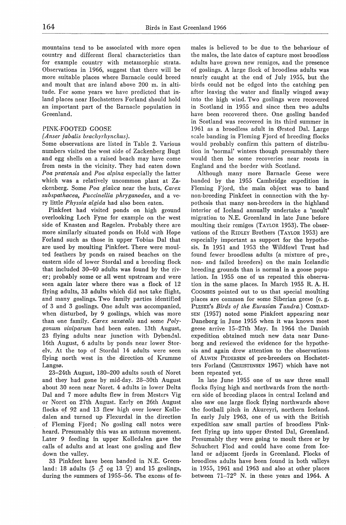mountains tend to be associated with more open country and different floral characteristics than for example country with metarnorphic strata. Observations in 1966, suggest that there will be more suitable places where Barnacle could breed and moult that are inland above 200 m. in altitude. For some years we have predicted that inland places near Hochstetters Forland should hold an important part of the Barnacle population in Greenland.

## PINK-FOOTED GOOSE

#### *(Anser fabalis brachyrhynchus ).*

Some observations are listed in Table 2. Various numbers visited the west side of Zackenberg Bugt and egg shells on a raised beach may have come from nests in the vicinity. They had eaten down *Poa pratensis* and *Poa alpina* especially the latter which was a relatively uncommon plant at Zackenberg. Some *Poa glauca* near the huts, *Carex subspathacea, Puccinellia phryganodes,* and a very little *Physsia algida* had also been eaten.

Pinkfeet had visited ponds on high ground overlooking Loch Fyne for example on the west side of Knasten and Røgelen. Probably there are more similarly situated ponds on Hold with Hope Forland such as those in upper Tobias Dal that are used by moulting Pinkfeet. There were moulted feathers by ponds on raised beaches on the eastern side of lower Stordal and a breeding flock that included 30-40 adults was found by the river; probably some or all went upstream and were seen again later where there was a flock of 12 flying adults, 33 adults which did not take flight, and many goslings. Two family parties identified of 3 and 3 goslings. One adult was accompanied, when disturbed, by 9 goslings, which was more than one family. *Carex saxatalis* and some *Polygonum viviparum* had been eaten. 13th August, 23 flying adults near junction with Dybendal. 16th August, 6 adults by ponds near lower Storelv. At the top of Stordal 14 adults were seen flying north west in the direction of Krumme Langsø.

23-24.th August, 180-200 adults south of Noret and they had gone by mid-day. 28-30th August about 30 seen near Noret. 4 adults in lower Delta Dal and 7 more adults flew in from Mesters Vig or Noret on 27th August. Early on 26th August flocks *ol* 92 and 13 flew high over lower Kolledalen and turned up Flexurdal in the direction of Fleming Fjord; No gosling call notes were heard. Presumably this was an autumn movement. Later 9 feeding in upper Kolledalen gave the calls of adults and at least one gosling and flew down the valley.

33 Pinkfeet have been banded in N.E. Greenland: 18 adults (5  $\uparrow$  og 13  $\downarrow$ ) and 15 goslings, during the summers of 1955-56. The excess of females is believed to be due to the behaviour of the males, the late dates of capture most broodless adults have grown new remiges, and the presence of goslings. A large flock of broodless adults was nearly caught at the end of July 1955, but the hirds could not be edged into the catching pen after leaving the water and finally winged away into the high wind. Two goslings were recovered in Scotland in 1955 and since then two adults have been recovered there. One gosling banded in Scotland was recovered in its third summer in 1961 as a broodless adult in Ørsted Dal. Large scale banding in Fleming Fjord of breeding flocks would probably confirm this pattern of distribution in 'normal' winters though presumably there would then be some recoveries near roosts in England and the border with Scotland.

Although many more Barnacle Geese were banded by the 1955 Cambridge expedition in Fleming Fjord, the main object was to band non-breeding Pinkfeet in connection with the hypothesis that many non-breeders in the highland interior of Iceland annually undertake a 'moult' migration to N.E. Greenland in late June before moulting their remiges (TAYLOR 1953). The observations of the RrnLEY Brothers (TAYLOR 1953) are especially important as support for the hypothesis. In 1951 and 1953 the Wildfowl Trust had found fewer broodless adults (a mixture of pre-, non- and failed breeders) on the main Icelandic breeding grounds than is normal in a goose population. In 1955 one of us repeated this observation in the same places. In March 1955 R. A. H. CooMBES pointed out to us that special moulting places are common for some Siberian geese (e.g. PLESKE's *Birds of the Eurasian Tundra.)* CONRAD-SEN (1957) noted some Pinkfeet appearing near Daneborg in June 1955 when it was known most geese arrive 15-27th May. In 1964 the Danish expedition obtained much new data near Daneborg and reviewed the evidence for the hypothesis and again drew attention to the observations of ALwIN PEDERSEN of pre-breeders on Hochstetters Forland (CHRISTENSEN 1967) which have not been repeated yet.

In late June 1955 one of us saw three small flocks flying high and northwards from the northern side of breeding places in central Iceland and also saw one large flock flying northwards above the football pitch in Akureyri, northern Iceland. In early July 1963, one of us with the British expedition saw small parties of broodless Pinkfeet flying up into upper Ørsted Dal, Greenland. Presumably they were going to moult there or by Schuchert Flod and could have come from Iceland or adjacent fjords in Greenland. Flocks of broodless adults have been found in both valleys in 1955, 1961 and 1963 and also at other places between 71-72° N. in these years and 1964. A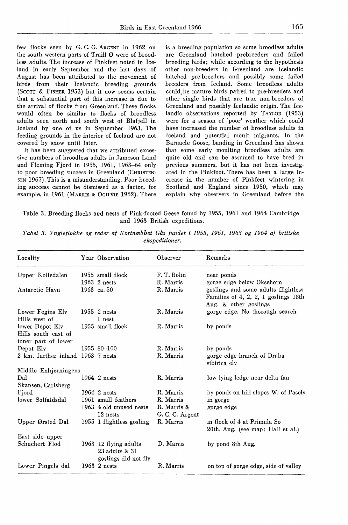few flocks seen by G. C. G. ARGENT in 1962 on the south western parts of Traill Ø were of broodless adults. The increase of Pinkfeet noted in Iceland in early September and the last days of August has been attributed to the movement of hirds from their Icelandic breeding grounds (SCOTT & FISHER 1953) but it now seems certain that a substantial part of this increase is due to the arrival of flocks from Greenland. These flocks would often be similar to flocks of broodless adults seen north and south west of Blafjell in Iceland by one of us in September 1963. The feeding grounds in the interior of Iceland are not covered by snow until later.

It has been suggested that we attributed excessive numbers of broodless adults in Jameson Land and Fleming Fjord in 1955, 1961, 1963-64 only to poor breeding success in Greenland (CHRISTEN· SEN 1967). This is a misunderstanding. Poor breeding success cannot be dismissed as a factor, for example, in 1961 (MARRIS & 0GILVIE 1962). There is a breeding population so some broodless adults are Greenland hatched prebreeders and failed breeding hirds; while according to the hypothesis other non-breeders in Greenland are Icelandic hatched pre-breeders and possibly some failed breeders from Iceland. Some broodless adults could, be mature hirds paired to pre-breeders and other single hirds that are true non-breeders of Greenland and· possibly Icelandic origin. The Icelandic observations reported by TAYLOR (1953) were for a season of 'poor' weather which could have increased the number of broodless adults in Iceland and potential moult migrants. In the Barnacle Goose, banding in Greenland has shown that some early moulting broodless adults are quite old and can be assumed to have bred in previous summers, but it has not been investigated in the Pinkfoot. There has been a large increase in the number of Pinkfeet wintering in Scotland and England since 1950, which may explain why observers in Greenland before the

Table 3. Breeding flocks and nests of Pink-footed Geese found by 1955, 1961 and 1964 Cambridge and 1963 British expeditions.

| Locality                                                      | Year Observation                        | Observer                       | Remarks                                                                                                                            |
|---------------------------------------------------------------|-----------------------------------------|--------------------------------|------------------------------------------------------------------------------------------------------------------------------------|
| Upper Kolledalen                                              | 1955 small flock                        | F. T. Bolin                    | near ponds                                                                                                                         |
| Antarctic Havn                                                | 1963 2 nests<br>1963 $ca.50$            | R. Marris<br>R. Marris         | gorge edge below Oksehorn<br>goslings and some adults flightless.<br>Families of 4, 2, 2, 1 goslings 18th<br>Aug. & other goslings |
| Lower Fegins Elv<br>Hills west of                             | 1955 $2$ nests<br>1 nest                | R. Marris                      | gorge edge. No thorough search                                                                                                     |
| lower Depot Elv<br>Hills south east of<br>inner part of lower | 1955 small flock                        | R. Marris                      | by ponds                                                                                                                           |
| Depot Elv                                                     | 1955 80-100                             | R. Marris                      | by ponds                                                                                                                           |
| 2 km. further inland 1963 7 nests                             |                                         | R. Marris                      | gorge edge branch of Draba<br>sibirica elv                                                                                         |
| Middle Enhjørningens                                          |                                         |                                |                                                                                                                                    |
| Dal                                                           | 1964 2 nests                            | R. Marris                      | low lying ledge near delta fan                                                                                                     |
| Skansen, Carlsberg                                            |                                         |                                |                                                                                                                                    |
| Fjord                                                         | 1964 2 nests                            | R. Marris                      | by ponds on hill slopes W. of Paselv                                                                                               |
| lower Solfaldsdal                                             | 1961 small feathers                     | R. Marris                      | in gorge                                                                                                                           |
|                                                               | 1963 4 old unused nests<br>12 nests     | R. Marris &<br>G. C. G. Argent | gorge edge                                                                                                                         |
| Upper Ørsted Dal                                              | 1955 1 flightless gosling               | R. Marris                      | in flock of 4 at Primula Sø<br>20th. Aug. (see map: Hall et al.)                                                                   |
| East side upper                                               |                                         |                                |                                                                                                                                    |
| Schuchert Flod                                                | 1963 12 flying adults<br>23 adults & 31 | D. Marris                      | by pond 8th Aug.                                                                                                                   |
| Lower Pingels dal                                             | goslings did not fly<br>1963 2 nests    | R. Marris                      | on top of gorge edge, side of valley                                                                                               |

*Tabel 3. Yngleflokke og reder af Kortnæbbet Gås fundet* i *1955, 1961, 1963 og 1964 af britiske ekspeditioner.*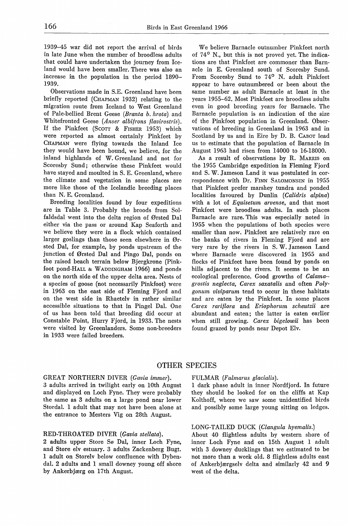1939-45 war did not report the arrival of hirds in late June when the number of hroodless adults that could have undertaken the journey from Iceland would have heen smaller. There was also an increase in the population in the period 1890- 1939.

Observations made in S.E. Greenland have been briefly reported (CHAPMAN 1932) relating to the migration route from Iceland to West Greenland of Pale-bellied Brent Geese *(Branta b. hrota)* and Whitefronted Geese *(Anser albifrons flavirostris).*  If the Pinkfeet (SCOTT & FISHER 1953) which were reported as almost certainly Pinkfeet by CHAPMAN were flying towards the Inland Ice they would have been bound, we helieve, for the inland highlands of W. Greenland and not for Scoresby Sund; otherwise these Pinkfeet would have stayed and moulted in S. E. Greenland, where the climate and vegetation in some places are more like those of the Icelandic hreeding places than N. E. Greenland.

Breeding localities found by four expeditions are in Table 3. Prohahly the hroods from Solfaldsdal went into the delta region of Ørsted Dal either via the pass or around Kap Seaforth and we believe they were in a flock which contained larger goslings than those seen elsewhere in Ørsted Dal, for example, by ponds upstream of the junction of Ørsted Dal and Pingo Dal, ponds on the raised beach terrain below Bjergkrone (Pinkfoot pond-HALL & WADDINGHAM 1966) and ponds on the north side of the upper delta area. Nests of a species of goose (not necessarily Pinkfoot) were in 1963 on the east side of Fleming Fjord and on the west side in Rhaetelv in rather similar accessible situations to that in Pingel Dal. One of us has been told that breeding did occur at Constable Point, Hurry Fjord, in 1933. The nests were visited by Greenlanders. Some non-hreeders in 1933 were failed breeders.

We believe Barnacle outnumber Pinkfeet north of 74° N., but this is not proved yet. The indications are that Pinkfeet are commoner than Barnacle in E. Greenland south of Scoresby Sund. From Scoresby Sund to 74° N. adult Pinkfeet appear to have outnumbered or been about the same number as adult Barnacle at least in the years 1955-62. Most Pinkfeet are broodless adults even in good breeding years for Barnacle. The Barnacle population is an indication of the size of the Pinkfoot population in Greenland. Observations of breeding in Greenland in 1963 and in Scotland by us and in Eire by D. B. CABOT lead us to estimate that the population of Barnacle in August 1963 had risen from 14000 to 16-18000.

As a result of observations by R. MARRIS on the 1955 Cambridge expedition in Fleming Fjord and S. W. Jameson Land it was postulated in correspondence with Dr. FINN SALOMONSEN in 1955 that Pinkfeet prefer marshey tundra and ponded localities favoured by Dunlin *(Calidris alpina)*  with a lot of *Equisetum arvense,* and that most Pinkfeet were broodless adults. In such places Barnacle are rare. This was especially noted in 1955 when the populations of hoth species were smaller than now. Pinkfeet are relatively rare on the banks of rivers in Fleming Fjord and are very rare by the rivers in S. W. Jameson Land where Barnacle were discovered in 1955 and flocks of Pinkfeet have been found by ponds on hills adjacent to the rivers. It seems to be an ecological preference. Good growths of *Calama- grostis neglecta, Carex saxatalis* and often *Polygonum viviparum* tend to occur in these habitats and are eaten by the Pinkfeet. In some places *Carex rariflora* and *Eriophorum scheutzii* are abundant and eaten; the latter is eaten earlier when still growing. *Carex bigelowii* has been found grazed by ponds near Depot Elv.

## OTHER SPECIES

## GREAT NORTHERN DIVER *(Gavia immer).*

3 adults arrived in twilight early on lOth August and displayed on Loch Fyne. They were probably the same as 3 adults on a large pond near lower Stordal. 1 adult that may not have been alone at the entrance to Mesters Vig on 28th August.

#### RED-THROATED DIVER *(Gavia stellata).*

2 adults upper Store Sø Dal, inner Loch Fyne, and Store elv estuary. 3 adults Zackenberg Bugt. 1 adult on Storelv below confluence with Dybendal. 2 adults and 1 small downey young off shore by Ankerbjærg on 17th August.

#### FULMAR *(Fulmarus glacialis).*

1 dark phase adult in inner Nordfjord. In future they should be looked for on the cliffs at Kap Kolthoff, where we saw some unidentified hirds and possibly some large young sitting on ledges.

## LONG-TAILED DUCK *(Clangula hyemalis.)*

Ahout 40 flightless adults by western shore of inner Loch Fyne and on 15th August 1 adult with 3 downey ducklings that we estimated to be not more than a week old. 8 flightless adults east of Ankerbjærgselv delta and similarly 42 and 9 west of the delta.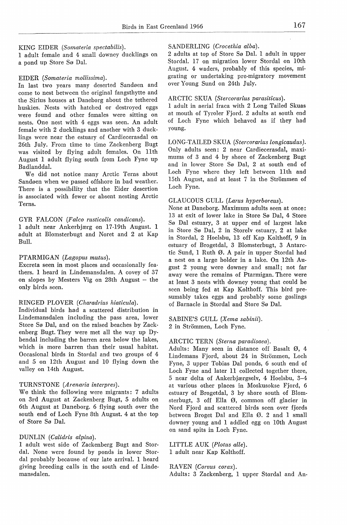#### KING EIDER *(Somateria spectabilis).*

1 adult female and 4 small downey ducklings on a pond up Store Sø Dal.

#### EIDER *(Somateria mollissima).*

In last two years many deserted Sandøen and come to nest between the original fangsthytte and the Sirius houses at Daneborg about the tethered huskies. Nests with hatched or destroyed eggs were found and other females were sitting on nests. One nest with 4 eggs was seen. An adult female with 2 ducklings and another with 3 ducklings were near the estuary of Cardiecerasdal on 26th July. From time to time Zackenberg Bugt was visited by flying adult females. On llth August 1 adult flying south from Loch Fyne up Badlanddal.

We did not notice many Arctic Tems about Sandøen when we passed offshore in bad weather. There is a possibility that the Eider desertion is associated with fewer or absent nesting Arctic Terns.

## GYR FALCON *(Falco rusticolis candicans).*

1 adult near Ankerbjærg on 17-19th August. 1 adult at Blomsterbugt and Noret and 2 at Kap Bull.

## PTARMIGAN *(Lagopus mutus).*

Excreta seen in most places and occasionally feathers. 1 heard in Lindemansdalen. A covey of 37 on slopes by Mesters Vig on 28th August - the only hirds seen.

#### RINGED PLOVER *(Charadrius hiaticula).*

Individual hirds had a scattered distribution in Lindemansdalen including the pass area, lower Store Sø Dal, and on the raised beaches by Zackenberg Bugt. They were met all the way up Dybendal including the barren area below the lakes, which is more barren than their usual habitat. Occasional hirds in Stordal and two groups of 4 and 5 on 12th August and 10 flying down the valley on 14th August.

## TURNSTONE *(Arenaria interpres).*

We think the following were migrants: 7 adults on 3rd August at Zackenberg Bugt, 5 adults on 6th August at Daneborg. 6 flying south over the south end of Loch Fyne 8th August. 4 at the top of Store Sø Dal.

## DUNLIN *(Calidris alpina).*

1 adult west side of Zackenberg Bugt and Stordal. None were found by ponds in lower Stordal probably because of our late arrival. 1 heard giving breeding calls in the south end of Lindemansdalen.

## SANDERLING *(Crocethia alba).*

2 adults at top of Store Sø Dal. 1 adult in upper Stordal. 17 on migration lower Stordal on lOth August. 4 waders, probably of this species, migrating or undertaking pre-migratory movement over Young Sund on 24th July.

## ARCTIC SKUA *(Stercorarius parasiticus).*

1 adult in aerial fraca with 2 Long Tailed Skuas at mouth of Tyroler Fjord. 2 adults at south end of Loch Fyne which behaved as if they had young.

LONG-TAILED SKUA *(Stercorarius longicaudus).*  Only adults seen: 2 near Cardiecerasdal, maximums of 3 and 4 by shore of Zackenberg Bugt and in lower Store Sø Dal, 2 at south end of Loch Fyne where they left between 11th and 15th August, and at least 7 in the Strömmen of Loch Fyne.

#### GLAUCOUS GULL *(Larus hyperboreus).*

None at Daneborg. Maximum adults seen at once: 13 at exit of lower lake in Store Sø Dal, 4 Store Sø Dal estuary, 3 at upper end of largest lake in Store Sø Dal, 2 in Storelv estuary, 2 at lake in Stordal, 2 Hoelsbu, 13 off Kap Kolthoff, 9 in estuary of Brogetdal, 3 Blomsterbugt, 3 Antarctic Sund, 1 Ruth Ø. A pair in upper Stordal had a nest on a large holder in a lake. On 12th August 2 young were downey and small; not far away were the remains of Ptarmigan. There were at least 3 nests with downey young that could be seen being fed at Kap Kolthoff. This hird presumably takes eggs and probably some goslings of Barnacle in Stordal and Store Sø Dal.

SABINE'S GULL *(Xema sabinii).*  2 in Strömmen, Loch Fyne.

#### ARCTIC TERN *(Sterna paradisaea).*

Adults: Many seen in distance off Basalt Ø, 4 Lindemans Fjord, about 24 in Strömmen, Loch Fyne, 3 upper Tobias Dal ponds, 6 south end of Loch Fyne and later ll collected together there, 5 near delta of Ankerbjærgselv, 4 Hoelsbu, 3-4 at various other places in Moskusokse Fjord, 6 estuary of Brogetdal, 3 by shore south of Blomsterbugt, 3 off Ella Ø, common off glacier in Nord Fjord and scattered hirds seen over fjords between Broget Dal and Ella Ø. 2 and 1 small downey young and 1 addled egg on lOth August on sand spits in Loch Fyne.

LITTLE AUK *(Plotus alle).*  1 adult near Kap Kolthoff.

#### RAVEN *(Corvus corax).*

Adults: 3 Zackenberg, 1 upper Stordal and An-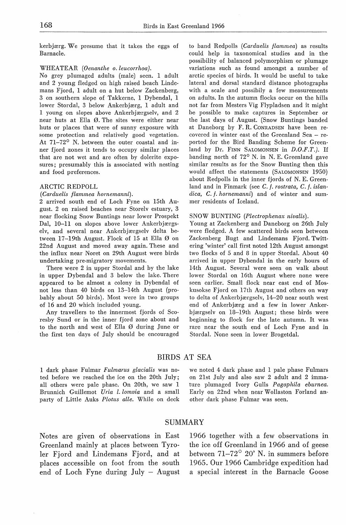kerbjærg. We presurne that it takes the eggs of Barnacle.

#### WHEATEAR *(Oenanthe o. leucorrhoa).*

No grey plumaged adults (male) seen. 1 adult and 2 young fledged on high raised beach Lindemans Fjord, 1 adult on a hut below Zackenberg, 3 on southern slope of Takkerne, 1 Dybendal, 1 lower Stordal, 3 below Ankerbjærg, 1 adult and 1 young on slopes above Ankerbjærgselv, and 2 near huts at Ella Ø. The sites were either near huts or places that were of sunny exposure with some protection and relatively good vegetation. At 71-72° N. between the outer coastal and inner fjord zones it tends to occupy similar places that are not wet and are often by dolerite exposures; presumably this is associated with nesting and food preferences.

### ARCTIC REDPOLL

#### *(Carduelis flammea hornemanni).*

2 arrived south end of Loch Fyne on 15th August. 2 on raised beaches near Storelv estuary, 3 near flocking Snow Buntings near lower Prospekt Dal, 10-11 on slopes above lower Ankerbjærgselv, and several near Ankerbjærgselv delta between 17-19th August. Flock of 15 at Ella Ø on 22nd August and moved away again. These and the influx near Noret on 29th August were birds undertaking pre-migratory movements.

There were 2 in upper Stordal and by the lake in upper Dybendal and 3 below the lake. There appeared to be almost a colony in Dybendal of not less than 40 hirds on 13-14th August (probably about 50 hirds). Most were in two groups of 16 and 20 which included young.

Any travellers to the innermost fjords of Scoresby Sund or in the inner fjord zone about and to the north and west of Ella Ø during June or the first ten days of July should be encouraged to band Redpolls *(Carduelis flammea)* as results could help in taxonomical studies and in the possibility of balanced polymorphism or plumage variations such as found amongst a number of arctic species of hirds. It would be useful to take lateral and dorsal standard distance photographs with a scale and possibily a few measurements on adults. In the autumn flocks occur on the hills not far from Mesters Vig Flypladsen and it might be possible to make captures in September or the last days of August. (Snow Buntings banded at Daneborg by F. R. CoNRADSEN have been recovered in winter east of the Greenland Sea - reported for the Bird Banding Scheme for Greenland by Dr. FINN SALOMONSEN in *D.O.F.T.*). If banding north of 72° N. in N. E. Greenland gave similar results as for the Snow Bunting then this would affect the statements (SALOMONSEN 1950) about Redpolls in the inner fjords of N. E. Greenland and in Finmark (see *C. f. rostrata, C. f. islan*dica, C. f. hornemanni) and of winter and summer residents of Iceland.

#### SNOW BUNTING *(Plectrophenax nivalis).*

Young at Zackenberg and Daneborg on 26th July were fledged. A few scattered hirds seen between Zackenberg Bugt and Lindemans Fjord. Twittering 'winter' call first noted 12th August amongst two flocks of 5 and 8 in upper Stordal. About 40 arrived in upper Dybendal in the early hours of 14th August. Several were seen on walk about lower Stordal on 16th August where none were seen earlier. Small flock near east end of Moskusokse Fjord on 17th August and others on way to delta of Ankerbjærgselv, 14-20 near south west end of Ankerbjærg and a few in lower Ankerbjærgselv on 18-19th August; these hirds were beginning to flock for the late autumn. It was rare near the south end of Loch Fyne and in Stordal. None seen in lower Brogetdal.

## BIRDS AT SEA

1 dark phase Fulmar *Fulmarus glacialis* was noted before we reached the ice on the 20th July; all others were pale phase. On 20th, we saw 1 Brunnich Guillemot *Uria l. lomvia* and a small party of Little Auks *Plotus alle.* While on deck we noted 4 dark phase and 1 pale phase Fulmars on 2lst July and also saw 2 adult and 2 immature plumaged Ivory Gulls *Pagophila eburnea.*  Early on 22nd when near Wollaston Forland another dark phase Fulmar was seen.

## SUMMARY

Notes are given of observations in East Greenland mainly at places between Tyroler Fjord and Lindemans Fjord, and at places accessible on foot from the south end of Loch Fyne during July - August 1966 together with a few observations in the ice off Greenland in 1966 and of geese between 71-72° 20' N. in summers before 1965. Our 1966 Cambridge expedition had a special interest in the Barnacle Goose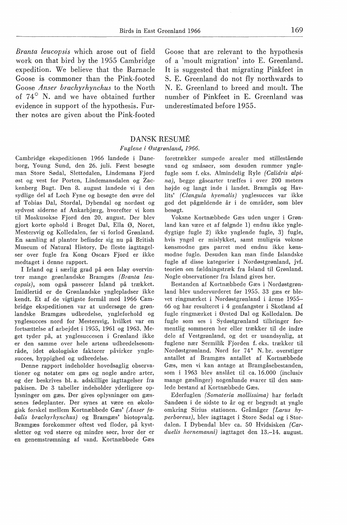*Branta leucopsis* which arose out of field work on that bird by the 1955 Cambridge expedition. We believe that the Barnacle Goose is commoner than the Pink-footed Goose *Anser brachyrhynchus* to the North of  $74^{\circ}$  N. and we have obtained further evidence in support of the hypothesis. Further notes are given about the Pink-footed

Goose that are relevant to the hypothesis of a 'moult migration' into E. Greenland. It is suggested that migrating Pinkfeet in S. E. Greenland do not fly northwards to N. E. Greenland to breed and moult. The number of Pinkfeet in E. Greenland was underestimated before 1955.

## DANSK RESUME

#### *Fuglene* i *Østgrønland, 1966.*

Cambridge ekspeditionen 1966 landede i Daneborg, Young Sund, den 26. juli. Først besøgte man Store Sødal, Slettedalen, Lindemans Fjord øst og vest for Porten, Lindemansdalen og Zackenberg Bugt. Den 8. august landede vi i den sydlige del af Loch Fyne og besøgte den øvre del af Tobias Dal, Stordal, Dybendal og nordøst og sydvest siderne af Ankarbjærg, hvorefter vi kom til Moskusokse Fjord den 20. august. Der blev gjort korte ophold i Broget Dal, Ella Ø, Noret, Mestersvig og Kolledalen, før vi forlod Grønland. En samling af planter befinder sig nu på British Museum of Natural History. De fleste iagttagelser over fugle fra Kong Oscars Fjord er ikke medtaget i denne rapport.

I Irland og i særlig grad på øen Islay overvintrer mange grønlandske Bramgæs *(Branta leucopsis),* som også passerer Island på trækket. Imidlertid er de Grønlandske ynglepladser ikke kendt. Et af de vigtigste formål med 1966 Cambridge ekspeditionen var at undersøge de grønlandske Bramgæs udbredelse, yngleforhold og ynglesucces nord for Mestersvig, hvilket var en fortsættelse af arbejdet i 1955, 1961 og 1963. Meget tyder på, at ynglesuccesen i Grønland ikke er den samme over hele artens udbredelsesområde, idet økologiske faktorer påvirker ynglesucces, hyppighed og udbredelse.

Denne rapport indeholder hovedsaglig observationer og notater om gæs og nogle andre arter, og der beskrives bl. a. adskillige iagttagelser fra pakisen. De 3 tabeller indeholder yderligere oplysninger om gæs. Der gives oplysninger om gæssenes fødeplanter. Der synes at være en økologisk forskel mellem Kortnæbbede Gæs' *(Anser fabalis brachyrhynchus)* og Bramgæs' biotopvalg. Bramgæs forekommer oftest ved floder, på kystsletter og ved større og mindre søer, hvor der er en genemstrømning af vand. Kortnæbbede Gæs foretrækker sumpede arealer med stillestående vand og småsøer, som desuden rummer ynglefugle som f. eks. Almindelig Ryle *(Calidris alpina),* begge gåsearter træffes i over 200 meters højde og langt inde i landet. Bramgås og Havlits' *(Clangula hyemalis)* ynglesucces var ikke god det pågældende år i de områder, som blev besøgt.

Voksne Kortnæbbede Gæs uden unger i Grønland kan være et af følgnde 1) endnu ikke yngledygtige fugle 2) ikke ynglende fugle, 3) fugle, hvis yngel er mislykket, samt muligvis voksne kønsmodne gæs parret med endnu ikke kønsmodne fugle. Desuden kan man finde Islandske fugle af disse kategorier i Nordøstgrønland, jvf. teorien om fældningstræk fra Island til Grønland. Nogle observationer fra Island gives her.

Bestanden af Kortnæbbede Gæs i Nordøstgrønland blev undervurderet før 1955. 33 gæs er blevet ringmærket i Nordøstgrønland i årene 1955- 66 og har resulteret i 4 genfangster i Skotland af fugle ringmærket i Ørsted Dal og Kolledalen. De fugle som ses i Sydøstgrønland tilbringer formentlig sommeren her eller trækker til de indre dele af Vestgrønland, og det er usandsynlig, at fuglene nær Sermilik Fjorden f. eks. trækker til Nordøstgrønland. Nord for 74° N. br. overstiger antallet af Bramgæs antallet af Kortnæbbede Gæs, men vi kan antage at Bramgåsebestanden, som i 1963 blev anslået til ca. 16.000 (inclusiv mange gæslinger) nogenlunde svarer til den samlede bestand af Kortnæbbede Gæs.

Ederfuglen *(Somateria mollissima)* har forladt Sandøen i de sidste to år og er begyndt at yngle omkring Sirius stationen. Gråmåger *(Larus hyperboreus),* blev iagttaget i Store Sødal og i Stordalen. I Dybendal blev ca. 50 Hvidsisken *(Carduelis hornemanni)* iagttaget den 13.-14. august.